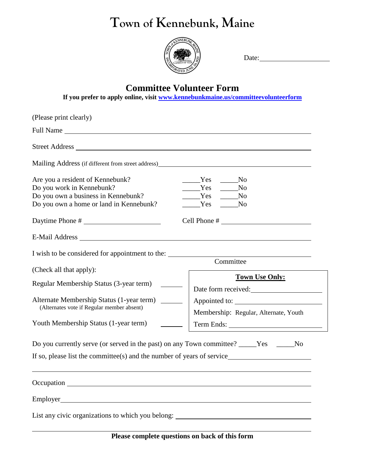## **Town of Kennebunk, Maine**



Date:

## **Committee Volunteer Form**

**If you prefer to apply online, visit [www.kennebunkmaine.us/committeevolunteerform](http://www.kennebunkmaine.us/committeevolunteerform)**

| (Please print clearly)                                                                                                                                             |                                                                                                          |
|--------------------------------------------------------------------------------------------------------------------------------------------------------------------|----------------------------------------------------------------------------------------------------------|
|                                                                                                                                                                    |                                                                                                          |
|                                                                                                                                                                    |                                                                                                          |
| Are you a resident of Kennebunk?<br>Do you work in Kennebunk?<br>Do you own a business in Kennebunk?<br>Do you own a home or land in Kennebunk?<br>Daytime Phone # | Yes<br>No.<br>Yes<br>N <sub>0</sub><br>Yes<br>No.<br><b>Example SE</b><br>N <sub>0</sub><br>Cell Phone # |
|                                                                                                                                                                    |                                                                                                          |
| I wish to be considered for appointment to the:                                                                                                                    | Committee                                                                                                |
| (Check all that apply):                                                                                                                                            | <b>Town Use Only:</b>                                                                                    |
| Regular Membership Status (3-year term)                                                                                                                            |                                                                                                          |
|                                                                                                                                                                    | Date form received:                                                                                      |
| Alternate Membership Status (1-year term)<br>(Alternates vote if Regular member absent)                                                                            | Membership: Regular, Alternate, Youth                                                                    |
| Youth Membership Status (1-year term)                                                                                                                              |                                                                                                          |
| Do you currently serve (or served in the past) on any Town committee? _____Yes ______<br>If so, please list the committee(s) and the number of years of service    | No                                                                                                       |
|                                                                                                                                                                    |                                                                                                          |
|                                                                                                                                                                    |                                                                                                          |